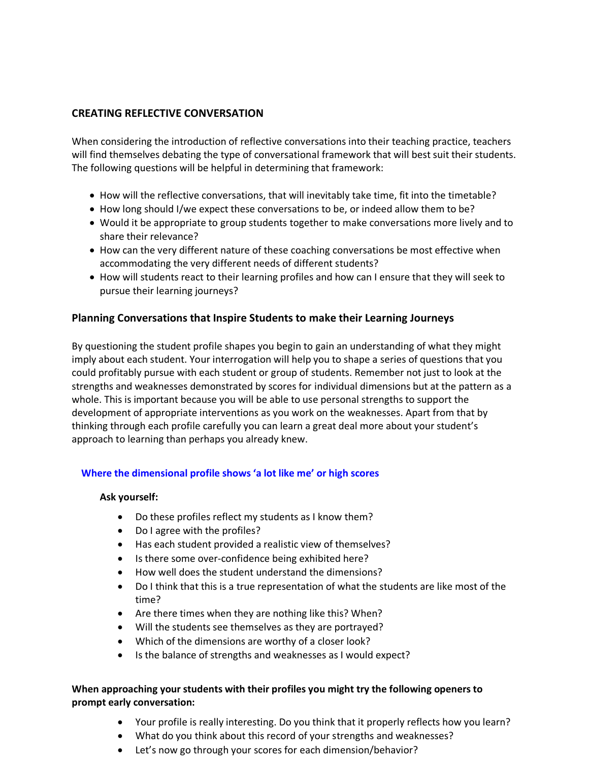## **CREATING REFLECTIVE CONVERSATION**

When considering the introduction of reflective conversations into their teaching practice, teachers will find themselves debating the type of conversational framework that will best suit their students. The following questions will be helpful in determining that framework:

- How will the reflective conversations, that will inevitably take time, fit into the timetable?
- How long should I/we expect these conversations to be, or indeed allow them to be?
- Would it be appropriate to group students together to make conversations more lively and to share their relevance?
- How can the very different nature of these coaching conversations be most effective when accommodating the very different needs of different students?
- How will students react to their learning profiles and how can I ensure that they will seek to pursue their learning journeys?

# **Planning Conversations that Inspire Students to make their Learning Journeys**

By questioning the student profile shapes you begin to gain an understanding of what they might imply about each student. Your interrogation will help you to shape a series of questions that you could profitably pursue with each student or group of students. Remember not just to look at the strengths and weaknesses demonstrated by scores for individual dimensions but at the pattern as a whole. This is important because you will be able to use personal strengths to support the development of appropriate interventions as you work on the weaknesses. Apart from that by thinking through each profile carefully you can learn a great deal more about your student's approach to learning than perhaps you already knew.

## **Where the dimensional profile shows 'a lot like me' or high scores**

## **Ask yourself:**

- Do these profiles reflect my students as I know them?
- Do I agree with the profiles?
- Has each student provided a realistic view of themselves?
- Is there some over-confidence being exhibited here?
- How well does the student understand the dimensions?
- Do I think that this is a true representation of what the students are like most of the time?
- Are there times when they are nothing like this? When?
- Will the students see themselves as they are portrayed?
- Which of the dimensions are worthy of a closer look?
- Is the balance of strengths and weaknesses as I would expect?

# **When approaching your students with their profiles you might try the following openers to prompt early conversation:**

- Your profile is really interesting. Do you think that it properly reflects how you learn?
- What do you think about this record of your strengths and weaknesses?
- Let's now go through your scores for each dimension/behavior?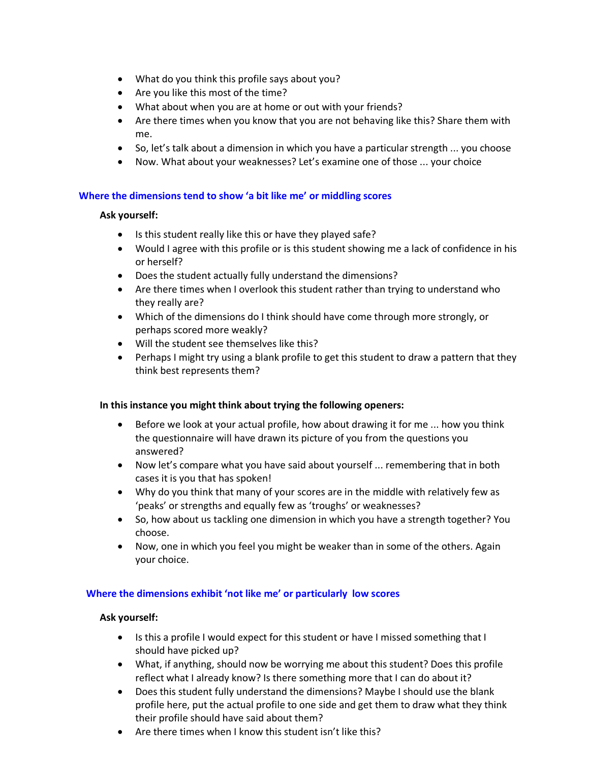- What do you think this profile says about you?
- Are you like this most of the time?
- What about when you are at home or out with your friends?
- Are there times when you know that you are not behaving like this? Share them with me.
- So, let's talk about a dimension in which you have a particular strength ... you choose
- Now. What about your weaknesses? Let's examine one of those ... your choice

### **Where the dimensions tend to show 'a bit like me' or middling scores**

#### **Ask yourself:**

- Is this student really like this or have they played safe?
- Would I agree with this profile or is this student showing me a lack of confidence in his or herself?
- Does the student actually fully understand the dimensions?
- Are there times when I overlook this student rather than trying to understand who they really are?
- Which of the dimensions do I think should have come through more strongly, or perhaps scored more weakly?
- Will the student see themselves like this?
- Perhaps I might try using a blank profile to get this student to draw a pattern that they think best represents them?

#### **In this instance you might think about trying the following openers:**

- Before we look at your actual profile, how about drawing it for me ... how you think the questionnaire will have drawn its picture of you from the questions you answered?
- Now let's compare what you have said about yourself ... remembering that in both cases it is you that has spoken!
- Why do you think that many of your scores are in the middle with relatively few as 'peaks' or strengths and equally few as 'troughs' or weaknesses?
- So, how about us tackling one dimension in which you have a strength together? You choose.
- Now, one in which you feel you might be weaker than in some of the others. Again your choice.

#### **Where the dimensions exhibit 'not like me' or particularly low scores**

#### **Ask yourself:**

- Is this a profile I would expect for this student or have I missed something that I should have picked up?
- What, if anything, should now be worrying me about this student? Does this profile reflect what I already know? Is there something more that I can do about it?
- Does this student fully understand the dimensions? Maybe I should use the blank profile here, put the actual profile to one side and get them to draw what they think their profile should have said about them?
- Are there times when I know this student isn't like this?